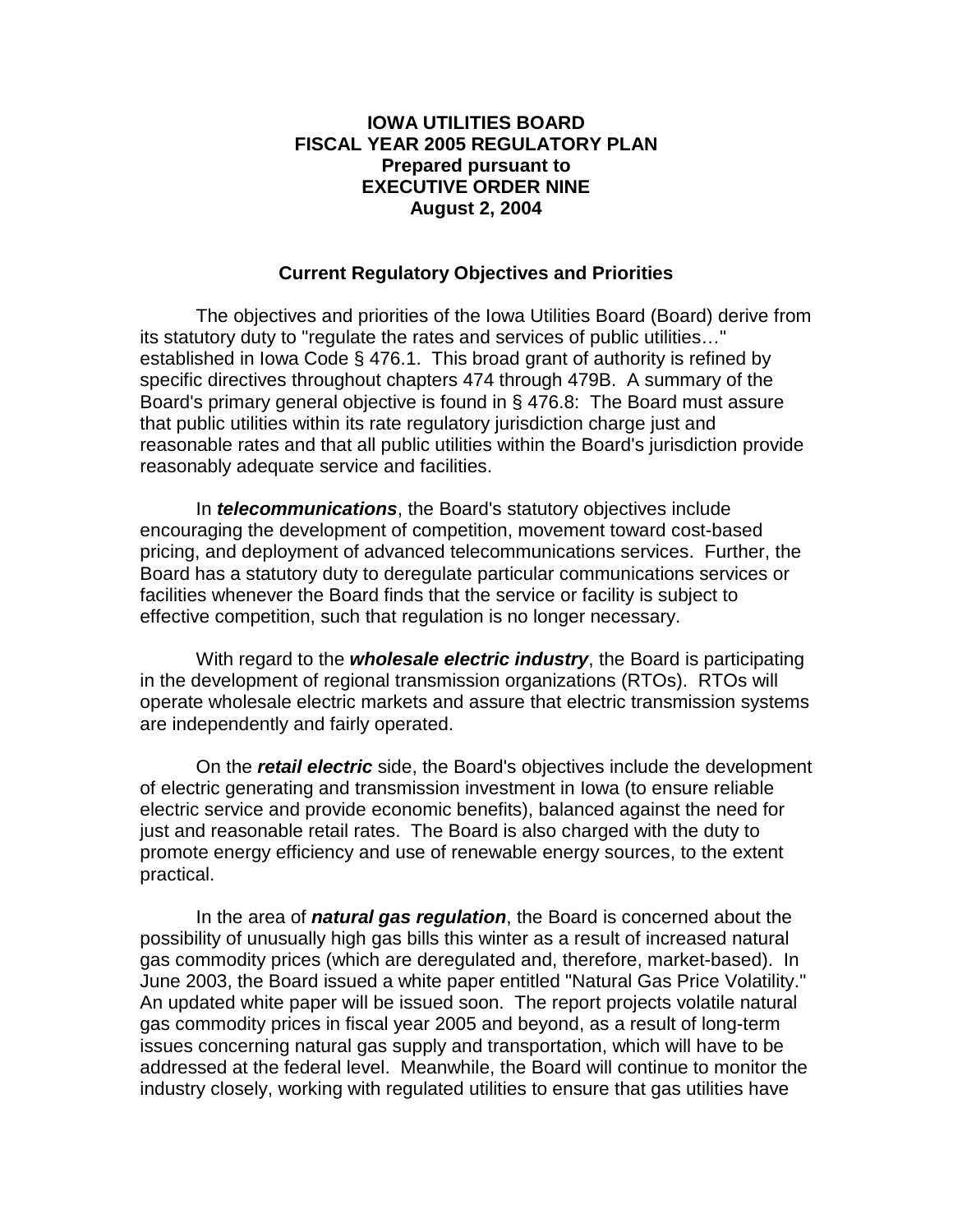## **IOWA UTILITIES BOARD FISCAL YEAR 2005 REGULATORY PLAN Prepared pursuant to EXECUTIVE ORDER NINE August 2, 2004**

## **Current Regulatory Objectives and Priorities**

 The objectives and priorities of the Iowa Utilities Board (Board) derive from its statutory duty to "regulate the rates and services of public utilities…" established in Iowa Code § 476.1. This broad grant of authority is refined by specific directives throughout chapters 474 through 479B. A summary of the Board's primary general objective is found in § 476.8: The Board must assure that public utilities within its rate regulatory jurisdiction charge just and reasonable rates and that all public utilities within the Board's jurisdiction provide reasonably adequate service and facilities.

In *telecommunications*, the Board's statutory objectives include encouraging the development of competition, movement toward cost-based pricing, and deployment of advanced telecommunications services. Further, the Board has a statutory duty to deregulate particular communications services or facilities whenever the Board finds that the service or facility is subject to effective competition, such that regulation is no longer necessary.

With regard to the *wholesale electric industry*, the Board is participating in the development of regional transmission organizations (RTOs). RTOs will operate wholesale electric markets and assure that electric transmission systems are independently and fairly operated.

On the *retail electric* side, the Board's objectives include the development of electric generating and transmission investment in Iowa (to ensure reliable electric service and provide economic benefits), balanced against the need for just and reasonable retail rates. The Board is also charged with the duty to promote energy efficiency and use of renewable energy sources, to the extent practical.

 In the area of *natural gas regulation*, the Board is concerned about the possibility of unusually high gas bills this winter as a result of increased natural gas commodity prices (which are deregulated and, therefore, market-based). In June 2003, the Board issued a white paper entitled "Natural Gas Price Volatility." An updated white paper will be issued soon. The report projects volatile natural gas commodity prices in fiscal year 2005 and beyond, as a result of long-term issues concerning natural gas supply and transportation, which will have to be addressed at the federal level. Meanwhile, the Board will continue to monitor the industry closely, working with regulated utilities to ensure that gas utilities have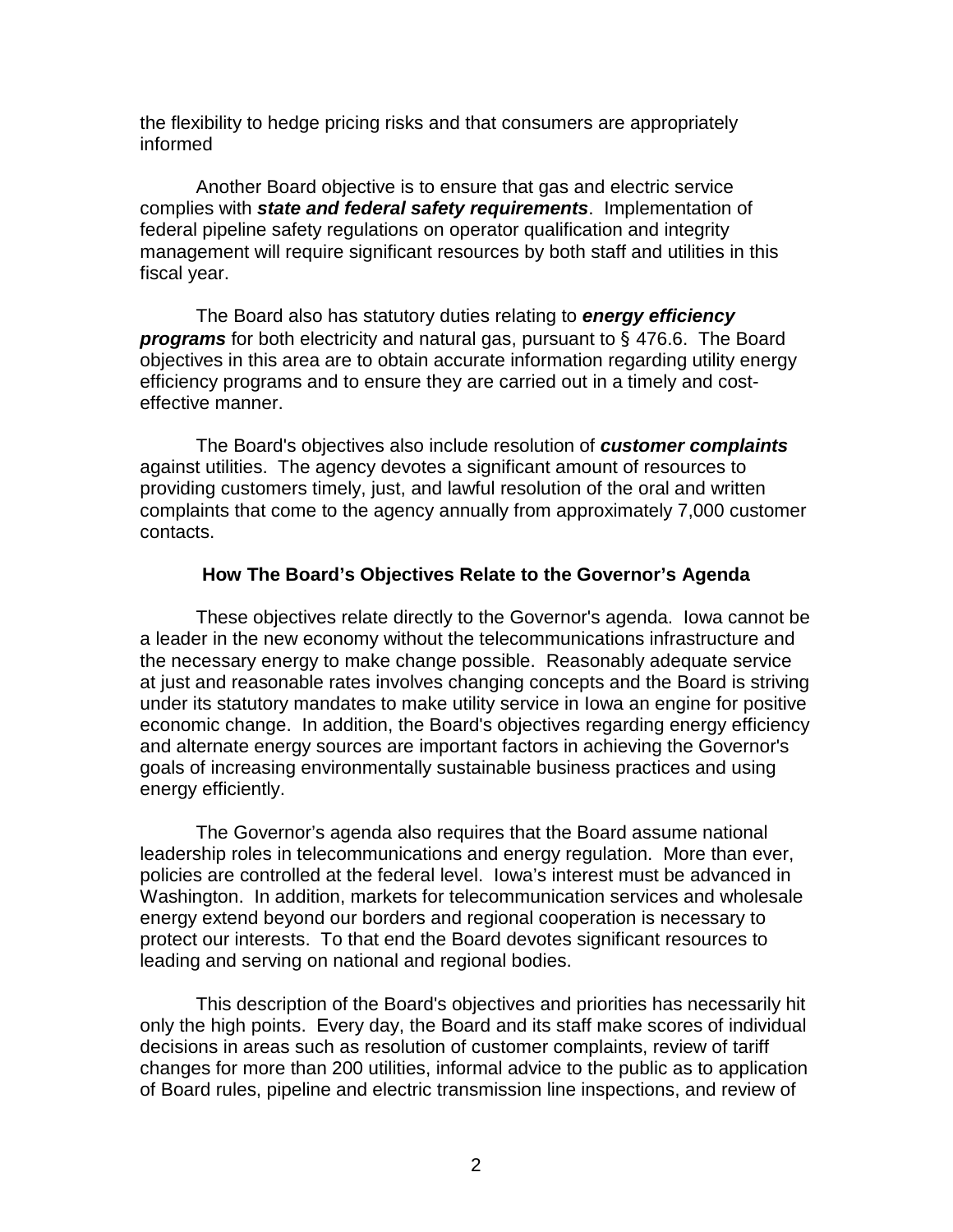the flexibility to hedge pricing risks and that consumers are appropriately informed

Another Board objective is to ensure that gas and electric service complies with *state and federal safety requirements*. Implementation of federal pipeline safety regulations on operator qualification and integrity management will require significant resources by both staff and utilities in this fiscal year.

 The Board also has statutory duties relating to *energy efficiency programs* for both electricity and natural gas, pursuant to § 476.6. The Board objectives in this area are to obtain accurate information regarding utility energy efficiency programs and to ensure they are carried out in a timely and costeffective manner.

 The Board's objectives also include resolution of *customer complaints*  against utilities. The agency devotes a significant amount of resources to providing customers timely, just, and lawful resolution of the oral and written complaints that come to the agency annually from approximately 7,000 customer contacts.

#### **How The Board's Objectives Relate to the Governor's Agenda**

 These objectives relate directly to the Governor's agenda. Iowa cannot be a leader in the new economy without the telecommunications infrastructure and the necessary energy to make change possible. Reasonably adequate service at just and reasonable rates involves changing concepts and the Board is striving under its statutory mandates to make utility service in Iowa an engine for positive economic change. In addition, the Board's objectives regarding energy efficiency and alternate energy sources are important factors in achieving the Governor's goals of increasing environmentally sustainable business practices and using energy efficiently.

The Governor's agenda also requires that the Board assume national leadership roles in telecommunications and energy regulation. More than ever, policies are controlled at the federal level. Iowa's interest must be advanced in Washington. In addition, markets for telecommunication services and wholesale energy extend beyond our borders and regional cooperation is necessary to protect our interests. To that end the Board devotes significant resources to leading and serving on national and regional bodies.

 This description of the Board's objectives and priorities has necessarily hit only the high points. Every day, the Board and its staff make scores of individual decisions in areas such as resolution of customer complaints, review of tariff changes for more than 200 utilities, informal advice to the public as to application of Board rules, pipeline and electric transmission line inspections, and review of